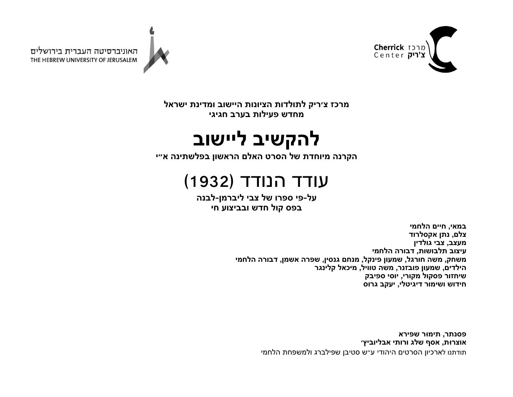



האוניברסיטה העברית בירושלים THE HEBREW UNIVERSITY OF JERUSALEM

> **זכרמ קיר׳צ תודלותל תונויצה בושייה תנידמו לארשי שדחמ תוליעפ ברעב יגיגח**

## **בישקהל בושייל**

**הנרקה תדחוימ לש טרסה םלאה ןושארה הניתשלפב י״א**

## עודד הנודד (1932)

**לע - יפ ורפס לש יבצ ןמרביל - הנבל ספב לוק שדח ו עוציבב יח**

> **יאמב , םייח חלה ימ םלצ , ןתנ דורלסקא בצעמ , יבצ ןידלוג בוציע תושובלת , הרובד ימחלה קחשמ , השמ לגרוח , ןועמש לקניפ , םחנמ ןיסנג , הרפש ןמשא , הרובד ימחלה םידליה , ןועמש פו רנזב , השמ ליווט , לאכימ רגנילק רוזחיש לוקספ ירוקמ , יסוי קביפס שודיח רומישו ילטיגיד , בקעי סורג**

> > **רתנספ , רוּמית אריפש תוּרצוא , ףסא גלש יתורו ׳ץיבוילבא** תודתנו לארכיון הסרטים היהודי ע״ש סטיבן שפילברג ולמשפחת הלחמי